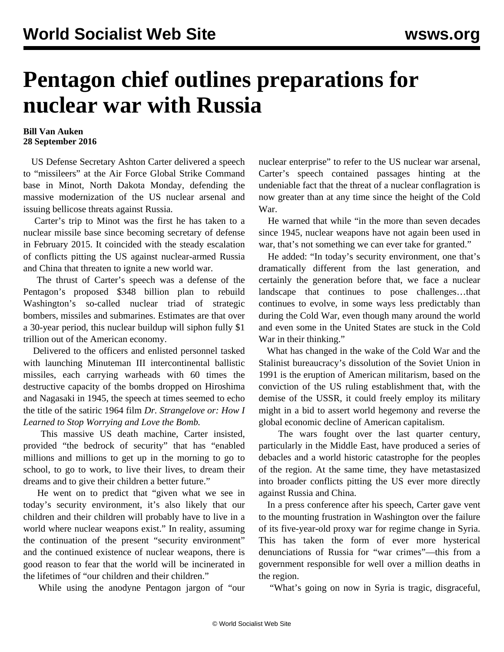## **Pentagon chief outlines preparations for nuclear war with Russia**

## **Bill Van Auken 28 September 2016**

 US Defense Secretary Ashton Carter delivered a speech to "missileers" at the Air Force Global Strike Command base in Minot, North Dakota Monday, defending the massive modernization of the US nuclear arsenal and issuing bellicose threats against Russia.

 Carter's trip to Minot was the first he has taken to a nuclear missile base since becoming secretary of defense in February 2015. It coincided with the steady escalation of conflicts pitting the US against nuclear-armed Russia and China that threaten to ignite a new world war.

 The thrust of Carter's speech was a defense of the Pentagon's proposed \$348 billion plan to rebuild Washington's so-called nuclear triad of strategic bombers, missiles and submarines. Estimates are that over a 30-year period, this nuclear buildup will siphon fully \$1 trillion out of the American economy.

 Delivered to the officers and enlisted personnel tasked with launching Minuteman III intercontinental ballistic missiles, each carrying warheads with 60 times the destructive capacity of the bombs dropped on Hiroshima and Nagasaki in 1945, the speech at times seemed to echo the title of the satiric 1964 film *Dr. Strangelove or: How I Learned to Stop Worrying and Love the Bomb.*

 This massive US death machine, Carter insisted, provided "the bedrock of security" that has "enabled millions and millions to get up in the morning to go to school, to go to work, to live their lives, to dream their dreams and to give their children a better future."

 He went on to predict that "given what we see in today's security environment, it's also likely that our children and their children will probably have to live in a world where nuclear weapons exist." In reality, assuming the continuation of the present "security environment" and the continued existence of nuclear weapons, there is good reason to fear that the world will be incinerated in the lifetimes of "our children and their children."

While using the anodyne Pentagon jargon of "our

nuclear enterprise" to refer to the US nuclear war arsenal, Carter's speech contained passages hinting at the undeniable fact that the threat of a nuclear conflagration is now greater than at any time since the height of the Cold War.

 He warned that while "in the more than seven decades since 1945, nuclear weapons have not again been used in war, that's not something we can ever take for granted."

 He added: "In today's security environment, one that's dramatically different from the last generation, and certainly the generation before that, we face a nuclear landscape that continues to pose challenges…that continues to evolve, in some ways less predictably than during the Cold War, even though many around the world and even some in the United States are stuck in the Cold War in their thinking."

 What has changed in the wake of the Cold War and the Stalinist bureaucracy's dissolution of the Soviet Union in 1991 is the eruption of American militarism, based on the conviction of the US ruling establishment that, with the demise of the USSR, it could freely employ its military might in a bid to assert world hegemony and reverse the global economic decline of American capitalism.

 The wars fought over the last quarter century, particularly in the Middle East, have produced a series of debacles and a world historic catastrophe for the peoples of the region. At the same time, they have metastasized into broader conflicts pitting the US ever more directly against Russia and China.

 In a press conference after his speech, Carter gave vent to the mounting frustration in Washington over the failure of its five-year-old proxy war for regime change in Syria. This has taken the form of ever more hysterical denunciations of Russia for "war crimes"—this from a government responsible for well over a million deaths in the region.

"What's going on now in Syria is tragic, disgraceful,